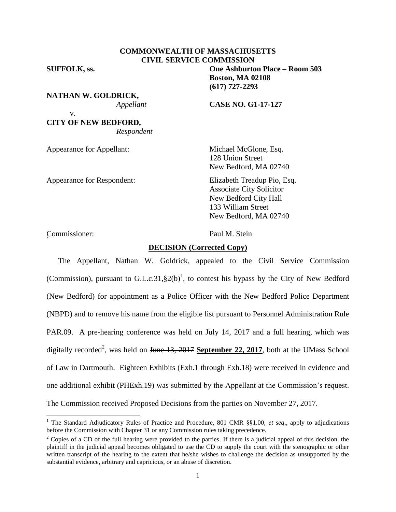# **COMMONWEALTH OF MASSACHUSETTS CIVIL SERVICE COMMISSION**

**SUFFOLK, ss. One Ashburton Place – Room 503**

v.

**NATHAN W. GOLDRICK,**

*Appellant* **CASE NO. G1-17-127**

**Boston, MA 02108 (617) 727-2293**

# **CITY OF NEW BEDFORD,** *Respondent*

Appearance for Appellant: Michael McGlone, Esq.

Appearance for Respondent: Elizabeth Treadup Pio, Esq.

128 Union Street New Bedford, MA 02740

Associate City Solicitor New Bedford City Hall 133 William Street New Bedford, MA 02740

Commissioner: Paul M. Stein <sup>2</sup>

 $\overline{a}$ 

## **DECISION (Corrected Copy)**

The Appellant, Nathan W. Goldrick, appealed to the Civil Service Commission (Commission), pursuant to G.L.c.31,  $\S2(b)^1$ , to contest his bypass by the City of New Bedford (New Bedford) for appointment as a Police Officer with the New Bedford Police Department (NBPD) and to remove his name from the eligible list pursuant to Personnel Administration Rule PAR.09. A pre-hearing conference was held on July 14, 2017 and a full hearing, which was digitally recorded<sup>2</sup>, was held on <del>June 13, 2017</del> September 22, 2017, both at the UMass School of Law in Dartmouth. Eighteen Exhibits (Exh.1 through Exh.18) were received in evidence and one additional exhibit (PHExh.19) was submitted by the Appellant at the Commission's request. The Commission received Proposed Decisions from the parties on November 27, 2017.

<sup>1</sup> The Standard Adjudicatory Rules of Practice and Procedure, 801 CMR §§1.00, *et seq*., apply to adjudications before the Commission with Chapter 31 or any Commission rules taking precedence.

<sup>&</sup>lt;sup>2</sup> Copies of a CD of the full hearing were provided to the parties. If there is a judicial appeal of this decision, the plaintiff in the judicial appeal becomes obligated to use the CD to supply the court with the stenographic or other written transcript of the hearing to the extent that he/she wishes to challenge the decision as unsupported by the substantial evidence, arbitrary and capricious, or an abuse of discretion.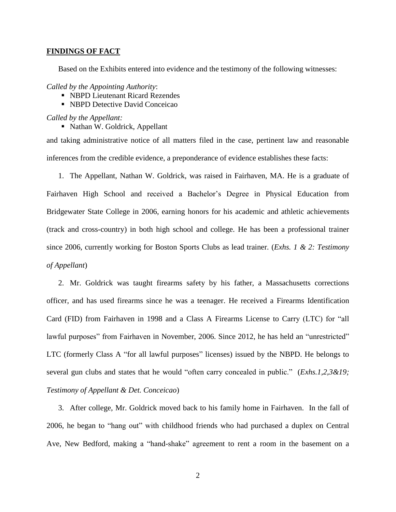### **FINDINGS OF FACT**

Based on the Exhibits entered into evidence and the testimony of the following witnesses:

*Called by the Appointing Authority*:

- NBPD Lieutenant Ricard Rezendes
- NBPD Detective David Conceicao

*Called by the Appellant:*

• Nathan W. Goldrick, Appellant

and taking administrative notice of all matters filed in the case, pertinent law and reasonable inferences from the credible evidence, a preponderance of evidence establishes these facts:

1. The Appellant, Nathan W. Goldrick, was raised in Fairhaven, MA. He is a graduate of Fairhaven High School and received a Bachelor's Degree in Physical Education from Bridgewater State College in 2006, earning honors for his academic and athletic achievements (track and cross-country) in both high school and college. He has been a professional trainer since 2006, currently working for Boston Sports Clubs as lead trainer. (*Exhs. 1 & 2: Testimony of Appellant*)

2. Mr. Goldrick was taught firearms safety by his father, a Massachusetts corrections officer, and has used firearms since he was a teenager. He received a Firearms Identification Card (FID) from Fairhaven in 1998 and a Class A Firearms License to Carry (LTC) for "all lawful purposes" from Fairhaven in November, 2006. Since 2012, he has held an "unrestricted" LTC (formerly Class A "for all lawful purposes" licenses) issued by the NBPD. He belongs to several gun clubs and states that he would "often carry concealed in public." (*Exhs.1,2,3&19*; *Testimony of Appellant & Det. Conceicao*)

3. After college, Mr. Goldrick moved back to his family home in Fairhaven. In the fall of 2006, he began to "hang out" with childhood friends who had purchased a duplex on Central Ave, New Bedford, making a "hand-shake" agreement to rent a room in the basement on a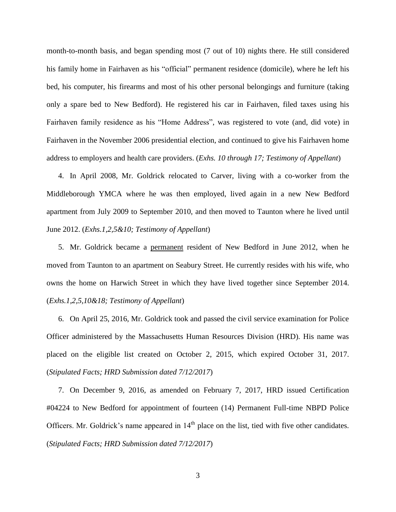month-to-month basis, and began spending most (7 out of 10) nights there. He still considered his family home in Fairhaven as his "official" permanent residence (domicile), where he left his bed, his computer, his firearms and most of his other personal belongings and furniture (taking only a spare bed to New Bedford). He registered his car in Fairhaven, filed taxes using his Fairhaven family residence as his "Home Address", was registered to vote (and, did vote) in Fairhaven in the November 2006 presidential election, and continued to give his Fairhaven home address to employers and health care providers. (*Exhs. 10 through 17; Testimony of Appellant*)

4. In April 2008, Mr. Goldrick relocated to Carver, living with a co-worker from the Middleborough YMCA where he was then employed, lived again in a new New Bedford apartment from July 2009 to September 2010, and then moved to Taunton where he lived until June 2012. (*Exhs.1,2,5&10; Testimony of Appellant*)

5. Mr. Goldrick became a permanent resident of New Bedford in June 2012, when he moved from Taunton to an apartment on Seabury Street. He currently resides with his wife, who owns the home on Harwich Street in which they have lived together since September 2014. (*Exhs.1,2,5,10&18; Testimony of Appellant*)

6. On April 25, 2016, Mr. Goldrick took and passed the civil service examination for Police Officer administered by the Massachusetts Human Resources Division (HRD). His name was placed on the eligible list created on October 2, 2015, which expired October 31, 2017. (*Stipulated Facts; HRD Submission dated 7/12/2017*)

7. On December 9, 2016, as amended on February 7, 2017, HRD issued Certification #04224 to New Bedford for appointment of fourteen (14) Permanent Full-time NBPD Police Officers. Mr. Goldrick's name appeared in  $14<sup>th</sup>$  place on the list, tied with five other candidates. (*Stipulated Facts; HRD Submission dated 7/12/2017*)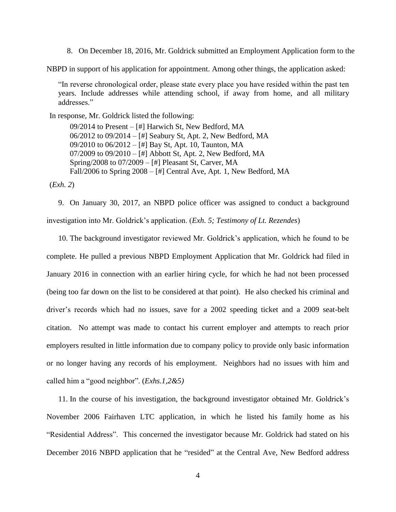8. On December 18, 2016, Mr. Goldrick submitted an Employment Application form to the

NBPD in support of his application for appointment. Among other things, the application asked:

"In reverse chronological order, please state every place you have resided within the past ten years. Include addresses while attending school, if away from home, and all military addresses."

In response, Mr. Goldrick listed the following:

09/2014 to Present – [#] Harwich St, New Bedford, MA 06/2012 to 09/2014 – [#] Seabury St, Apt. 2, New Bedford, MA 09/2010 to 06/2012 – [#] Bay St, Apt. 10, Taunton, MA 07/2009 to 09/2010 – [#] Abbott St, Apt. 2, New Bedford, MA Spring/2008 to 07/2009 – [#] Pleasant St, Carver, MA Fall/2006 to Spring 2008 – [#] Central Ave, Apt. 1, New Bedford, MA

(*Exh. 2*)

9. On January 30, 2017, an NBPD police officer was assigned to conduct a background investigation into Mr. Goldrick's application. (*Exh. 5; Testimony of Lt. Rezendes*)

10. The background investigator reviewed Mr. Goldrick's application, which he found to be complete. He pulled a previous NBPD Employment Application that Mr. Goldrick had filed in January 2016 in connection with an earlier hiring cycle, for which he had not been processed (being too far down on the list to be considered at that point). He also checked his criminal and driver's records which had no issues, save for a 2002 speeding ticket and a 2009 seat-belt citation. No attempt was made to contact his current employer and attempts to reach prior employers resulted in little information due to company policy to provide only basic information or no longer having any records of his employment. Neighbors had no issues with him and called him a "good neighbor". (*Exhs.1,2&5)*

11. In the course of his investigation, the background investigator obtained Mr. Goldrick's November 2006 Fairhaven LTC application, in which he listed his family home as his "Residential Address". This concerned the investigator because Mr. Goldrick had stated on his December 2016 NBPD application that he "resided" at the Central Ave, New Bedford address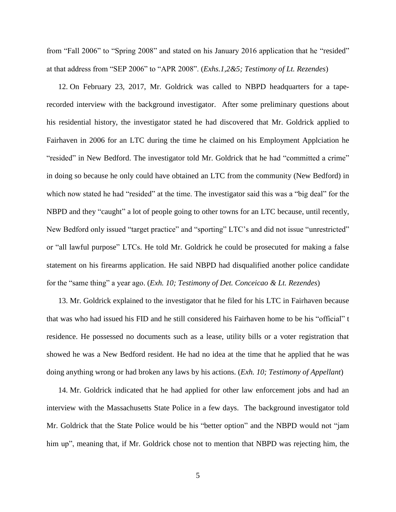from "Fall 2006" to "Spring 2008" and stated on his January 2016 application that he "resided" at that address from "SEP 2006" to "APR 2008". (*Exhs.1,2&5; Testimony of Lt. Rezendes*)

12. On February 23, 2017, Mr. Goldrick was called to NBPD headquarters for a taperecorded interview with the background investigator. After some preliminary questions about his residential history, the investigator stated he had discovered that Mr. Goldrick applied to Fairhaven in 2006 for an LTC during the time he claimed on his Employment Applciation he "resided" in New Bedford. The investigator told Mr. Goldrick that he had "committed a crime" in doing so because he only could have obtained an LTC from the community (New Bedford) in which now stated he had "resided" at the time. The investigator said this was a "big deal" for the NBPD and they "caught" a lot of people going to other towns for an LTC because, until recently, New Bedford only issued "target practice" and "sporting" LTC's and did not issue "unrestricted" or "all lawful purpose" LTCs. He told Mr. Goldrick he could be prosecuted for making a false statement on his firearms application. He said NBPD had disqualified another police candidate for the "same thing" a year ago. (*Exh. 10; Testimony of Det. Conceicao & Lt. Rezendes*)

13. Mr. Goldrick explained to the investigator that he filed for his LTC in Fairhaven because that was who had issued his FID and he still considered his Fairhaven home to be his "official" t residence. He possessed no documents such as a lease, utility bills or a voter registration that showed he was a New Bedford resident. He had no idea at the time that he applied that he was doing anything wrong or had broken any laws by his actions. (*Exh. 10; Testimony of Appellant*)

14. Mr. Goldrick indicated that he had applied for other law enforcement jobs and had an interview with the Massachusetts State Police in a few days. The background investigator told Mr. Goldrick that the State Police would be his "better option" and the NBPD would not "jam him up", meaning that, if Mr. Goldrick chose not to mention that NBPD was rejecting him, the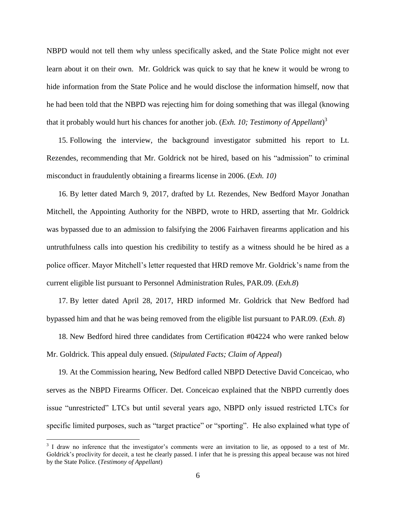NBPD would not tell them why unless specifically asked, and the State Police might not ever learn about it on their own. Mr. Goldrick was quick to say that he knew it would be wrong to hide information from the State Police and he would disclose the information himself, now that he had been told that the NBPD was rejecting him for doing something that was illegal (knowing that it probably would hurt his chances for another job. (*Exh. 10; Testimony of Appellant*) 3

15. Following the interview, the background investigator submitted his report to Lt. Rezendes, recommending that Mr. Goldrick not be hired, based on his "admission" to criminal misconduct in fraudulently obtaining a firearms license in 2006. (*Exh. 10)*

16. By letter dated March 9, 2017, drafted by Lt. Rezendes, New Bedford Mayor Jonathan Mitchell, the Appointing Authority for the NBPD, wrote to HRD, asserting that Mr. Goldrick was bypassed due to an admission to falsifying the 2006 Fairhaven firearms application and his untruthfulness calls into question his credibility to testify as a witness should he be hired as a police officer. Mayor Mitchell's letter requested that HRD remove Mr. Goldrick's name from the current eligible list pursuant to Personnel Administration Rules, PAR.09. (*Exh.8*)

17. By letter dated April 28, 2017, HRD informed Mr. Goldrick that New Bedford had bypassed him and that he was being removed from the eligible list pursuant to PAR.09. (*Exh. 8*)

18. New Bedford hired three candidates from Certification #04224 who were ranked below Mr. Goldrick. This appeal duly ensued. (*Stipulated Facts; Claim of Appeal*)

19. At the Commission hearing, New Bedford called NBPD Detective David Conceicao, who serves as the NBPD Firearms Officer. Det. Conceicao explained that the NBPD currently does issue "unrestricted" LTCs but until several years ago, NBPD only issued restricted LTCs for specific limited purposes, such as "target practice" or "sporting". He also explained what type of

 $\overline{a}$ 

<sup>&</sup>lt;sup>3</sup> I draw no inference that the investigator's comments were an invitation to lie, as opposed to a test of Mr. Goldrick's proclivity for deceit, a test he clearly passed. I infer that he is pressing this appeal because was not hired by the State Police. (*Testimony of Appellant*)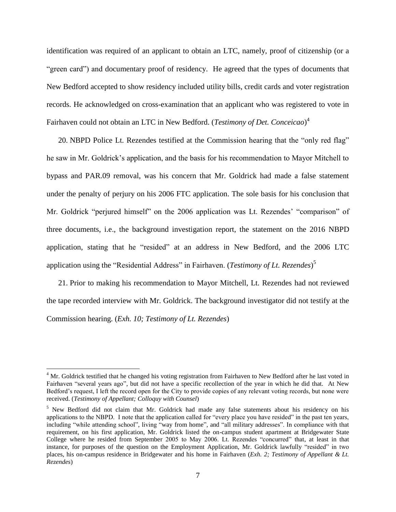identification was required of an applicant to obtain an LTC, namely, proof of citizenship (or a "green card") and documentary proof of residency. He agreed that the types of documents that New Bedford accepted to show residency included utility bills, credit cards and voter registration records. He acknowledged on cross-examination that an applicant who was registered to vote in Fairhaven could not obtain an LTC in New Bedford. (*Testimony of Det. Conceicao*) 4

20. NBPD Police Lt. Rezendes testified at the Commission hearing that the "only red flag" he saw in Mr. Goldrick's application, and the basis for his recommendation to Mayor Mitchell to bypass and PAR.09 removal, was his concern that Mr. Goldrick had made a false statement under the penalty of perjury on his 2006 FTC application. The sole basis for his conclusion that Mr. Goldrick "perjured himself" on the 2006 application was Lt. Rezendes' "comparison" of three documents, i.e., the background investigation report, the statement on the 2016 NBPD application, stating that he "resided" at an address in New Bedford, and the 2006 LTC application using the "Residential Address" in Fairhaven. (*Testimony of Lt. Rezendes*) 5

21. Prior to making his recommendation to Mayor Mitchell, Lt. Rezendes had not reviewed the tape recorded interview with Mr. Goldrick. The background investigator did not testify at the Commission hearing. (*Exh. 10; Testimony of Lt. Rezendes*)

 $\overline{a}$ 

<sup>&</sup>lt;sup>4</sup> Mr. Goldrick testified that he changed his voting registration from Fairhaven to New Bedford after he last voted in Fairhaven "several years ago", but did not have a specific recollection of the year in which he did that. At New Bedford's request, I left the record open for the City to provide copies of any relevant voting records, but none were received. (*Testimony of Appellant; Colloquy with Counsel*)

<sup>&</sup>lt;sup>5</sup> New Bedford did not claim that Mr. Goldrick had made any false statements about his residency on his applications to the NBPD. I note that the application called for "every place you have resided" in the past ten years, including "while attending school", living "way from home", and "all military addresses". In compliance with that requirement, on his first application, Mr. Goldrick listed the on-campus student apartment at Bridgewater State College where he resided from September 2005 to May 2006. Lt. Rezendes "concurred" that, at least in that instance, for purposes of the question on the Employment Application, Mr. Goldrick lawfully "resided" in two places, his on-campus residence in Bridgewater and his home in Fairhaven (*Exh. 2; Testimony of Appellant & Lt. Rezendes*)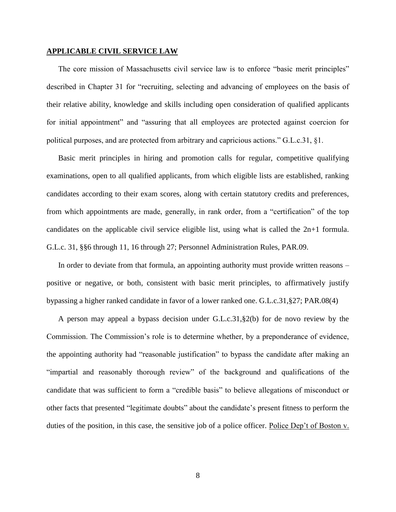## **APPLICABLE CIVIL SERVICE LAW**

The core mission of Massachusetts civil service law is to enforce "basic merit principles" described in Chapter 31 for "recruiting, selecting and advancing of employees on the basis of their relative ability, knowledge and skills including open consideration of qualified applicants for initial appointment" and "assuring that all employees are protected against coercion for political purposes, and are protected from arbitrary and capricious actions." G.L.c.31, §1.

Basic merit principles in hiring and promotion calls for regular, competitive qualifying examinations, open to all qualified applicants, from which eligible lists are established, ranking candidates according to their exam scores, along with certain statutory credits and preferences, from which appointments are made, generally, in rank order, from a "certification" of the top candidates on the applicable civil service eligible list, using what is called the 2n+1 formula. G.L.c. 31, §§6 through 11, 16 through 27; Personnel Administration Rules, PAR.09.

In order to deviate from that formula, an appointing authority must provide written reasons – positive or negative, or both, consistent with basic merit principles, to affirmatively justify bypassing a higher ranked candidate in favor of a lower ranked one. G.L.c.31,§27; PAR.08(4)

A person may appeal a bypass decision under G.L.c.31,§2(b) for de novo review by the Commission. The Commission's role is to determine whether, by a preponderance of evidence, the appointing authority had "reasonable justification" to bypass the candidate after making an "impartial and reasonably thorough review" of the background and qualifications of the candidate that was sufficient to form a "credible basis" to believe allegations of misconduct or other facts that presented "legitimate doubts" about the candidate's present fitness to perform the duties of the position, in this case, the sensitive job of a police officer. Police Dep't of Boston v.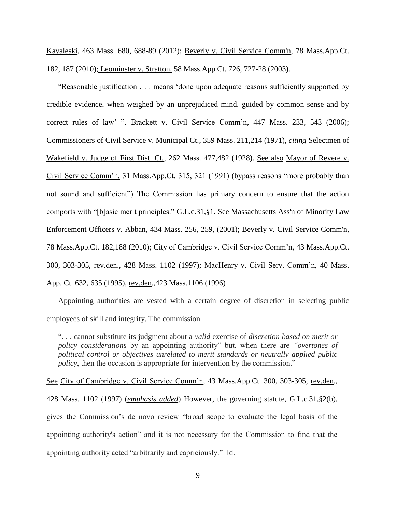Kavaleski, 463 Mass. 680, 688-89 (2012); [Beverly v. Civil Service Comm'n, 78 Mass.App.Ct.](http://web2.westlaw.com/find/default.wl?mt=Massachusetts&db=578&rs=WLW15.04&tc=-1&rp=%2ffind%2fdefault.wl&findtype=Y&ordoc=2029136022&serialnum=2023501172&vr=2.0&fn=_top&sv=Split&tf=-1&pbc=70F732C1&utid=1)  [182, 187 \(2010\);](http://web2.westlaw.com/find/default.wl?mt=Massachusetts&db=578&rs=WLW15.04&tc=-1&rp=%2ffind%2fdefault.wl&findtype=Y&ordoc=2029136022&serialnum=2023501172&vr=2.0&fn=_top&sv=Split&tf=-1&pbc=70F732C1&utid=1) Leominster v. Stratton, 58 Mass.App.Ct. 726, 727-28 (2003).

"Reasonable justification . . . means 'done upon adequate reasons sufficiently supported by credible evidence, when weighed by an unprejudiced mind, guided by common sense and by correct rules of law' ". Brackett v. Civil Service Comm'n, 447 Mass. 233, 543 (2006); Commissioners of Civil Service v. Municipal Ct., 359 Mass. 211,214 (1971), *citing* Selectmen of Wakefield v. Judge of First Dist. Ct., 262 Mass. 477,482 (1928). See also Mayor of Revere v. Civil Service Comm'n, 31 Mass.App.Ct. 315, 321 (1991) (bypass reasons "more probably than not sound and sufficient") The Commission has primary concern to ensure that the action comports with "[b]asic merit principles." [G.L.c.31,§1.](http://web2.westlaw.com/find/default.wl?mt=Massachusetts&db=1000042&rs=WLW15.04&docname=MAST31S1&rp=%2ffind%2fdefault.wl&findtype=L&ordoc=2029136022&tc=-1&vr=2.0&fn=_top&sv=Split&tf=-1&pbc=70F732C1&utid=1) See [Massachusetts Ass'n of Minority Law](http://web2.westlaw.com/find/default.wl?mt=Massachusetts&db=578&rs=WLW15.04&tc=-1&rp=%2ffind%2fdefault.wl&findtype=Y&ordoc=2029136022&serialnum=2001441097&vr=2.0&fn=_top&sv=Split&tf=-1&pbc=70F732C1&utid=1)  Enforcement Officers v. Abban, [434 Mass. 256, 259, \(2001\);](http://web2.westlaw.com/find/default.wl?mt=Massachusetts&db=578&rs=WLW15.04&tc=-1&rp=%2ffind%2fdefault.wl&findtype=Y&ordoc=2029136022&serialnum=2001441097&vr=2.0&fn=_top&sv=Split&tf=-1&pbc=70F732C1&utid=1) [Beverly v. Civil Service Comm'n,](http://web2.westlaw.com/find/default.wl?mt=Massachusetts&db=578&rs=WLW15.04&tc=-1&rp=%2ffind%2fdefault.wl&findtype=Y&ordoc=2029136022&serialnum=2023501172&vr=2.0&fn=_top&sv=Split&tf=-1&pbc=70F732C1&utid=1)  [78 Mass.App.Ct. 182,188 \(2010\);](http://web2.westlaw.com/find/default.wl?mt=Massachusetts&db=578&rs=WLW15.04&tc=-1&rp=%2ffind%2fdefault.wl&findtype=Y&ordoc=2029136022&serialnum=2023501172&vr=2.0&fn=_top&sv=Split&tf=-1&pbc=70F732C1&utid=1) City of Cambridge v. Civil Service Comm'n, 43 Mass.App.Ct. 300, 303-305, rev.den., 428 Mass. 1102 (1997); MacHenry v. Civil Serv. Comm'n, 40 Mass. App. Ct. 632, 635 (1995), rev.den.,423 Mass.1106 (1996)

Appointing authorities are vested with a certain degree of discretion in selecting public employees of skill and integrity. The commission

". . . cannot substitute its judgment about a *valid* exercise of *discretion based on merit or policy considerations* by an appointing authority" but, when there are *"overtones of political control or objectives unrelated to merit standards or neutrally applied public policy*, then the occasion is appropriate for intervention by the commission."

See City of Cambridge v. Civil Service Comm'n, 43 Mass.App.Ct. 300, 303-305, rev.den., 428 Mass. 1102 (1997) (*emphasis added*) However, the governing statute, [G.L.c.31,§2\(b\),](https://1.next.westlaw.com/Link/Document/FullText?findType=L&pubNum=1000042&cite=MAST31S2&originatingDoc=Ib21af0ded3bd11d99439b076ef9ec4de&refType=LQ&originationContext=document&transitionType=DocumentItem&contextData=(sc.History*oc.UserEnteredCitation)) gives the Commission's de novo review "broad scope to evaluate the legal basis of the appointing authority's action" and it is not necessary for the Commission to find that the appointing authority acted "arbitrarily and capriciously." Id.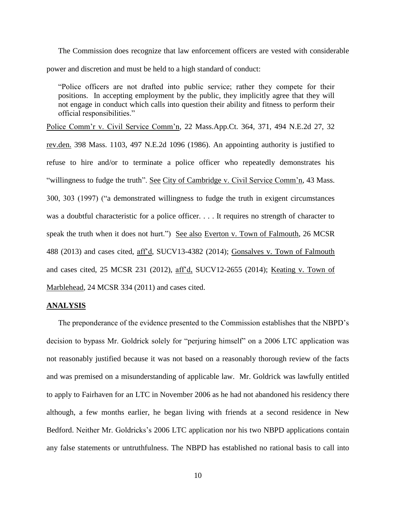The Commission does recognize that law enforcement officers are vested with considerable power and discretion and must be held to a high standard of conduct:

"Police officers are not drafted into public service; rather they compete for their positions. In accepting employment by the public, they implicitly agree that they will not engage in conduct which calls into question their ability and fitness to perform their official responsibilities."

Police Comm'r v. Civil Service Comm'n, 22 Mass.App.Ct. 364, 371, 494 N.E.2d 27, 32 rev.den. 398 Mass. 1103, 497 N.E.2d 1096 (1986). An appointing authority is justified to refuse to hire and/or to terminate a police officer who repeatedly demonstrates his "willingness to fudge the truth". See City of Cambridge v. Civil Service Comm'n, 43 Mass. 300, 303 (1997) ("a demonstrated willingness to fudge the truth in exigent circumstances was a doubtful characteristic for a police officer. . . . It requires no strength of character to speak the truth when it does not hurt.") See also Everton v. Town of Falmouth, 26 MCSR 488 (2013) and cases cited, aff'd, SUCV13-4382 (2014); Gonsalves v. Town of Falmouth and cases cited, 25 MCSR 231 (2012), aff'd, SUCV12-2655 (2014); Keating v. Town of Marblehead, 24 MCSR 334 (2011) and cases cited.

### **ANALYSIS**

The preponderance of the evidence presented to the Commission establishes that the NBPD's decision to bypass Mr. Goldrick solely for "perjuring himself" on a 2006 LTC application was not reasonably justified because it was not based on a reasonably thorough review of the facts and was premised on a misunderstanding of applicable law. Mr. Goldrick was lawfully entitled to apply to Fairhaven for an LTC in November 2006 as he had not abandoned his residency there although, a few months earlier, he began living with friends at a second residence in New Bedford. Neither Mr. Goldricks's 2006 LTC application nor his two NBPD applications contain any false statements or untruthfulness. The NBPD has established no rational basis to call into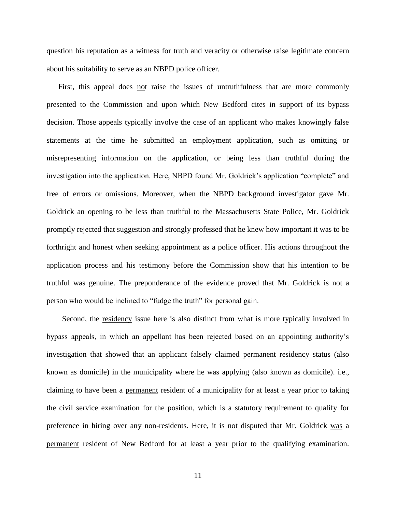question his reputation as a witness for truth and veracity or otherwise raise legitimate concern about his suitability to serve as an NBPD police officer.

First, this appeal does not raise the issues of untruthfulness that are more commonly presented to the Commission and upon which New Bedford cites in support of its bypass decision. Those appeals typically involve the case of an applicant who makes knowingly false statements at the time he submitted an employment application, such as omitting or misrepresenting information on the application, or being less than truthful during the investigation into the application. Here, NBPD found Mr. Goldrick's application "complete" and free of errors or omissions. Moreover, when the NBPD background investigator gave Mr. Goldrick an opening to be less than truthful to the Massachusetts State Police, Mr. Goldrick promptly rejected that suggestion and strongly professed that he knew how important it was to be forthright and honest when seeking appointment as a police officer. His actions throughout the application process and his testimony before the Commission show that his intention to be truthful was genuine. The preponderance of the evidence proved that Mr. Goldrick is not a person who would be inclined to "fudge the truth" for personal gain.

 Second, the residency issue here is also distinct from what is more typically involved in bypass appeals, in which an appellant has been rejected based on an appointing authority's investigation that showed that an applicant falsely claimed permanent residency status (also known as domicile) in the municipality where he was applying (also known as domicile). i.e., claiming to have been a permanent resident of a municipality for at least a year prior to taking the civil service examination for the position, which is a statutory requirement to qualify for preference in hiring over any non-residents. Here, it is not disputed that Mr. Goldrick was a permanent resident of New Bedford for at least a year prior to the qualifying examination.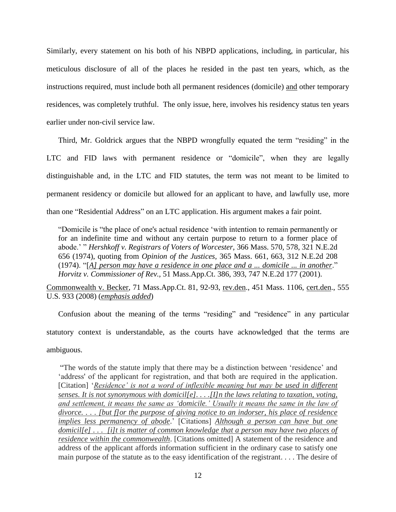Similarly, every statement on his both of his NBPD applications, including, in particular, his meticulous disclosure of all of the places he resided in the past ten years, which, as the instructions required, must include both all permanent residences (domicile) and other temporary residences, was completely truthful. The only issue, here, involves his residency status ten years earlier under non-civil service law.

Third, Mr. Goldrick argues that the NBPD wrongfully equated the term "residing" in the LTC and FID laws with permanent residence or "domicile", when they are legally distinguishable and, in the LTC and FID statutes, the term was not meant to be limited to permanent residency or domicile but allowed for an applicant to have, and lawfully use, more than one "Residential Address" on an LTC application. His argument makes a fair point.

"Domicile is "the place of one's actual residence 'with intention to remain permanently or for an indefinite time and without any certain purpose to return to a former place of abode.' " *[Hershkoff v. Registrars of Voters of Worcester,](https://1.next.westlaw.com/Link/Document/FullText?findType=Y&serNum=1974116767&pubNum=578&originatingDoc=Idf946190cabf11dc9876f446780b7bdc&refType=RP&originationContext=document&transitionType=DocumentItem&contextData=(sc.History*oc.Search))* 366 Mass. 570, 578, 321 N.E.2d [656 \(1974\),](https://1.next.westlaw.com/Link/Document/FullText?findType=Y&serNum=1974116767&pubNum=578&originatingDoc=Idf946190cabf11dc9876f446780b7bdc&refType=RP&originationContext=document&transitionType=DocumentItem&contextData=(sc.History*oc.Search)) quoting from *Opinion of the Justices,* [365 Mass. 661, 663, 312 N.E.2d 208](https://1.next.westlaw.com/Link/Document/FullText?findType=Y&serNum=1974114669&pubNum=578&originatingDoc=Idf946190cabf11dc9876f446780b7bdc&refType=RP&originationContext=document&transitionType=DocumentItem&contextData=(sc.History*oc.Search))  [\(1974\).](https://1.next.westlaw.com/Link/Document/FullText?findType=Y&serNum=1974114669&pubNum=578&originatingDoc=Idf946190cabf11dc9876f446780b7bdc&refType=RP&originationContext=document&transitionType=DocumentItem&contextData=(sc.History*oc.Search)) "[*A] person may have a residence in one place and a ... domicile ... in another*." *Horvitz v. Commissioner of Rev.,* [51 Mass.App.Ct. 386, 393, 747 N.E.2d 177 \(2001\).](https://1.next.westlaw.com/Link/Document/FullText?findType=Y&serNum=2001326124&pubNum=578&originatingDoc=Idf946190cabf11dc9876f446780b7bdc&refType=RP&originationContext=document&transitionType=DocumentItem&contextData=(sc.History*oc.Search))

Commonwealth v. Becker, 71 Mass.App.Ct. 81, 92-93, rev.den., 451 Mass. 1106, cert.den., 555 U.S. 933 (2008) (*emphasis added*)

Confusion about the meaning of the terms "residing" and "residence" in any particular statutory context is understandable, as the courts have acknowledged that the terms are ambiguous.

"The words of the statute imply that there may be a distinction between 'residence' and 'address' of the applicant for registration, and that both are required in the application. [Citation] '*Residence' is not a word of inflexible meaning but may be used in different senses. It is not synonymous with domicil[e]. . . .[I]n the laws relating to taxation, voting, and settlement, it means the same as 'domicile.' Usually it means the same in the law of divorce. . . . [but f]or the purpose of giving notice to an indorser, his place of residence implies less permanency of abode*.' [Citations] *Although a person can have but one domicil[e] . . . [i]t is matter of common knowledge that a person may have two places of residence within the commonwealth*. [Citations omitted] A statement of the residence and address of the applicant affords information sufficient in the ordinary case to satisfy one main purpose of the statute as to the easy identification of the registrant. . . . The desire of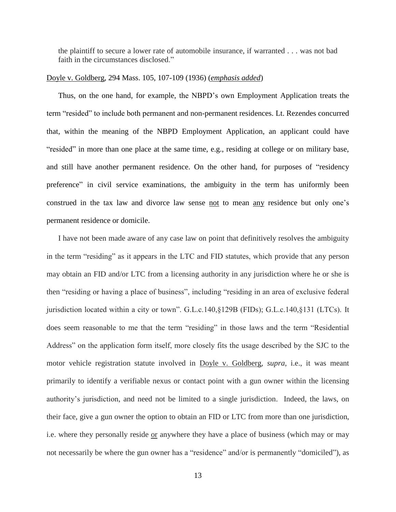the plaintiff to secure a lower rate of automobile insurance, if warranted . . . was not bad faith in the circumstances disclosed."

## Doyle v. Goldberg, 294 Mass. 105, 107-109 (1936) (*emphasis added*)

Thus, on the one hand, for example, the NBPD's own Employment Application treats the term "resided" to include both permanent and non-permanent residences. Lt. Rezendes concurred that, within the meaning of the NBPD Employment Application, an applicant could have "resided" in more than one place at the same time, e.g., residing at college or on military base, and still have another permanent residence. On the other hand, for purposes of "residency preference" in civil service examinations, the ambiguity in the term has uniformly been construed in the tax law and divorce law sense not to mean any residence but only one's permanent residence or domicile.

I have not been made aware of any case law on point that definitively resolves the ambiguity in the term "residing" as it appears in the LTC and FID statutes, which provide that any person may obtain an FID and/or LTC from a licensing authority in any jurisdiction where he or she is then "residing or having a place of business", including "residing in an area of exclusive federal jurisdiction located within a city or town". G.L.c.140,§129B (FIDs); G.L.c.140,§131 (LTCs). It does seem reasonable to me that the term "residing" in those laws and the term "Residential Address" on the application form itself, more closely fits the usage described by the SJC to the motor vehicle registration statute involved in Doyle v. Goldberg, *supra*, i.e., it was meant primarily to identify a verifiable nexus or contact point with a gun owner within the licensing authority's jurisdiction, and need not be limited to a single jurisdiction. Indeed, the laws, on their face, give a gun owner the option to obtain an FID or LTC from more than one jurisdiction, i.e. where they personally reside or anywhere they have a place of business (which may or may not necessarily be where the gun owner has a "residence" and/or is permanently "domiciled"), as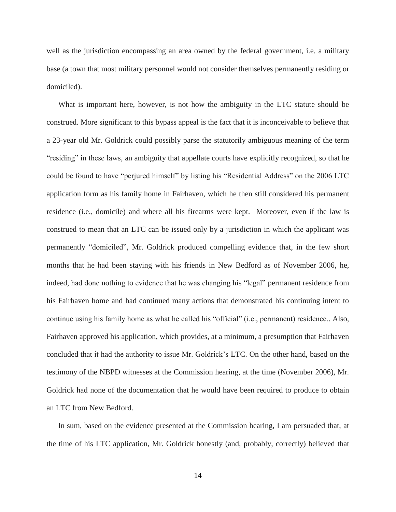well as the jurisdiction encompassing an area owned by the federal government, i.e. a military base (a town that most military personnel would not consider themselves permanently residing or domiciled).

What is important here, however, is not how the ambiguity in the LTC statute should be construed. More significant to this bypass appeal is the fact that it is inconceivable to believe that a 23-year old Mr. Goldrick could possibly parse the statutorily ambiguous meaning of the term "residing" in these laws, an ambiguity that appellate courts have explicitly recognized, so that he could be found to have "perjured himself" by listing his "Residential Address" on the 2006 LTC application form as his family home in Fairhaven, which he then still considered his permanent residence (i.e., domicile) and where all his firearms were kept. Moreover, even if the law is construed to mean that an LTC can be issued only by a jurisdiction in which the applicant was permanently "domiciled", Mr. Goldrick produced compelling evidence that, in the few short months that he had been staying with his friends in New Bedford as of November 2006, he, indeed, had done nothing to evidence that he was changing his "legal" permanent residence from his Fairhaven home and had continued many actions that demonstrated his continuing intent to continue using his family home as what he called his "official" (i.e., permanent) residence.. Also, Fairhaven approved his application, which provides, at a minimum, a presumption that Fairhaven concluded that it had the authority to issue Mr. Goldrick's LTC. On the other hand, based on the testimony of the NBPD witnesses at the Commission hearing, at the time (November 2006), Mr. Goldrick had none of the documentation that he would have been required to produce to obtain an LTC from New Bedford.

In sum, based on the evidence presented at the Commission hearing, I am persuaded that, at the time of his LTC application, Mr. Goldrick honestly (and, probably, correctly) believed that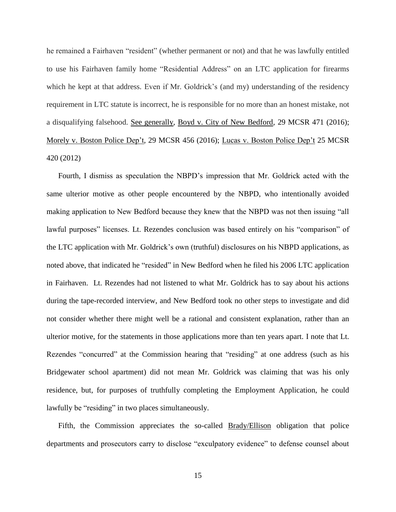he remained a Fairhaven "resident" (whether permanent or not) and that he was lawfully entitled to use his Fairhaven family home "Residential Address" on an LTC application for firearms which he kept at that address. Even if Mr. Goldrick's (and my) understanding of the residency requirement in LTC statute is incorrect, he is responsible for no more than an honest mistake, not a disqualifying falsehood. See generally, Boyd v. City of New Bedford, 29 MCSR 471 (2016); Morely v. Boston Police Dep't, 29 MCSR 456 (2016); Lucas v. Boston Police Dep't 25 MCSR 420 (2012)

Fourth, I dismiss as speculation the NBPD's impression that Mr. Goldrick acted with the same ulterior motive as other people encountered by the NBPD, who intentionally avoided making application to New Bedford because they knew that the NBPD was not then issuing "all lawful purposes" licenses. Lt. Rezendes conclusion was based entirely on his "comparison" of the LTC application with Mr. Goldrick's own (truthful) disclosures on his NBPD applications, as noted above, that indicated he "resided" in New Bedford when he filed his 2006 LTC application in Fairhaven. Lt. Rezendes had not listened to what Mr. Goldrick has to say about his actions during the tape-recorded interview, and New Bedford took no other steps to investigate and did not consider whether there might well be a rational and consistent explanation, rather than an ulterior motive, for the statements in those applications more than ten years apart. I note that Lt. Rezendes "concurred" at the Commission hearing that "residing" at one address (such as his Bridgewater school apartment) did not mean Mr. Goldrick was claiming that was his only residence, but, for purposes of truthfully completing the Employment Application, he could lawfully be "residing" in two places simultaneously.

Fifth, the Commission appreciates the so-called Brady/Ellison obligation that police departments and prosecutors carry to disclose "exculpatory evidence" to defense counsel about

15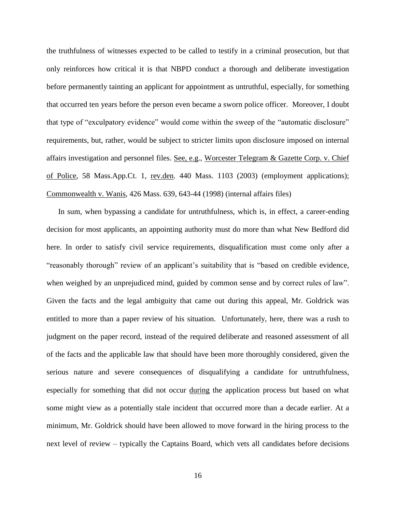the truthfulness of witnesses expected to be called to testify in a criminal prosecution, but that only reinforces how critical it is that NBPD conduct a thorough and deliberate investigation before permanently tainting an applicant for appointment as untruthful, especially, for something that occurred ten years before the person even became a sworn police officer. Moreover, I doubt that type of "exculpatory evidence" would come within the sweep of the "automatic disclosure" requirements, but, rather, would be subject to stricter limits upon disclosure imposed on internal affairs investigation and personnel files. See, e.g., Worcester Telegram & Gazette Corp. v. Chief of Police, 58 Mass.App.Ct. 1, rev.den. 440 Mass. 1103 (2003) (employment applications); Commonwealth v. Wanis, 426 Mass. 639, 643-44 (1998) (internal affairs files)

In sum, when bypassing a candidate for untruthfulness, which is, in effect, a career-ending decision for most applicants, an appointing authority must do more than what New Bedford did here. In order to satisfy civil service requirements, disqualification must come only after a "reasonably thorough" review of an applicant's suitability that is "based on credible evidence, when weighed by an unprejudiced mind, guided by common sense and by correct rules of law". Given the facts and the legal ambiguity that came out during this appeal, Mr. Goldrick was entitled to more than a paper review of his situation. Unfortunately, here, there was a rush to judgment on the paper record, instead of the required deliberate and reasoned assessment of all of the facts and the applicable law that should have been more thoroughly considered, given the serious nature and severe consequences of disqualifying a candidate for untruthfulness, especially for something that did not occur during the application process but based on what some might view as a potentially stale incident that occurred more than a decade earlier. At a minimum, Mr. Goldrick should have been allowed to move forward in the hiring process to the next level of review – typically the Captains Board, which vets all candidates before decisions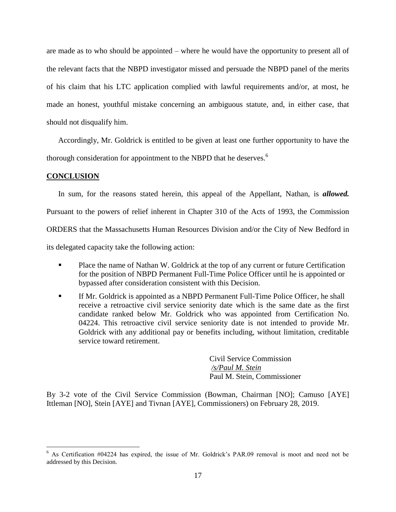are made as to who should be appointed – where he would have the opportunity to present all of the relevant facts that the NBPD investigator missed and persuade the NBPD panel of the merits of his claim that his LTC application complied with lawful requirements and/or, at most, he made an honest, youthful mistake concerning an ambiguous statute, and, in either case, that should not disqualify him.

Accordingly, Mr. Goldrick is entitled to be given at least one further opportunity to have the thorough consideration for appointment to the NBPD that he deserves.<sup>6</sup>

## **CONCLUSION**

 $\overline{a}$ 

In sum, for the reasons stated herein, this appeal of the Appellant, Nathan, is *allowed.*  Pursuant to the powers of relief inherent in Chapter 310 of the Acts of 1993, the Commission ORDERS that the Massachusetts Human Resources Division and/or the City of New Bedford in its delegated capacity take the following action:

- **Place the name of Nathan W. Goldrick at the top of any current or future Certification** for the position of NBPD Permanent Full-Time Police Officer until he is appointed or bypassed after consideration consistent with this Decision.
- If Mr. Goldrick is appointed as a NBPD Permanent Full-Time Police Officer, he shall receive a retroactive civil service seniority date which is the same date as the first candidate ranked below Mr. Goldrick who was appointed from Certification No. 04224. This retroactive civil service seniority date is not intended to provide Mr. Goldrick with any additional pay or benefits including, without limitation, creditable service toward retirement.

Civil Service Commission */s/Paul M. Stein*  Paul M. Stein, Commissioner

By 3-2 vote of the Civil Service Commission (Bowman, Chairman [NO]; Camuso [AYE] Ittleman [NO], Stein [AYE] and Tivnan [AYE], Commissioners) on February 28, 2019.

<sup>6</sup> As Certification #04224 has expired, the issue of Mr. Goldrick's PAR.09 removal is moot and need not be addressed by this Decision.